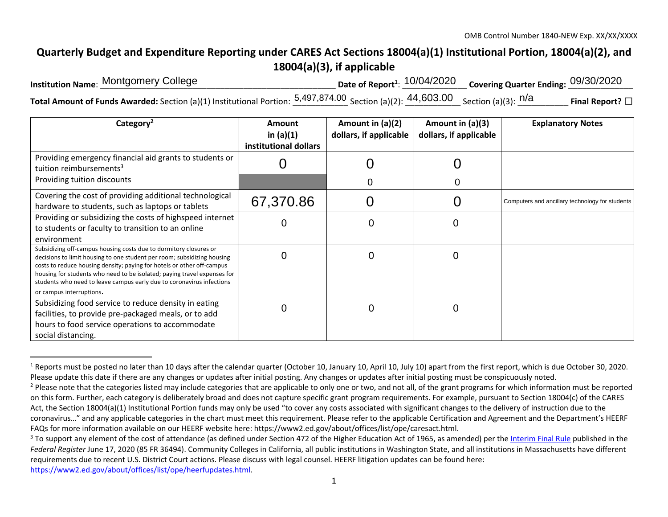## **Quarterly Budget and Expenditure Reporting under CARES Act Sections 18004(a)(1) Institutional Portion, 18004(a)(2), and 18004(a)(3), if applicable**

| Institution Name: Montgomery College                                                                                                                                | Date of Report <sup>1</sup> : $\frac{10/04/2020}{20}$ Covering Quarter Ending: $\frac{09/30/2020}{20}$ |                         |
|---------------------------------------------------------------------------------------------------------------------------------------------------------------------|--------------------------------------------------------------------------------------------------------|-------------------------|
| <b>Total Amount of Funds Awarded:</b> Section (a)(1) Institutional Portion: $\frac{5,497,874.00}{5}$ Section (a)(2): $\frac{44,603.00}{5}$ Section (a)(3): $^{n/a}$ |                                                                                                        | Final Report? $\square$ |

| Category <sup>2</sup>                                                                                                                                                                                                                                                                                                                                                                                                  | <b>Amount</b><br>in $(a)(1)$<br>institutional dollars | Amount in (a)(2)<br>dollars, if applicable | Amount in $(a)(3)$<br>dollars, if applicable | <b>Explanatory Notes</b>                        |
|------------------------------------------------------------------------------------------------------------------------------------------------------------------------------------------------------------------------------------------------------------------------------------------------------------------------------------------------------------------------------------------------------------------------|-------------------------------------------------------|--------------------------------------------|----------------------------------------------|-------------------------------------------------|
| Providing emergency financial aid grants to students or<br>tuition reimbursements <sup>3</sup>                                                                                                                                                                                                                                                                                                                         |                                                       |                                            |                                              |                                                 |
| Providing tuition discounts                                                                                                                                                                                                                                                                                                                                                                                            |                                                       | 0                                          | $\Omega$                                     |                                                 |
| Covering the cost of providing additional technological<br>hardware to students, such as laptops or tablets                                                                                                                                                                                                                                                                                                            | 67,370.86                                             |                                            |                                              | Computers and ancillary technology for students |
| Providing or subsidizing the costs of highspeed internet<br>to students or faculty to transition to an online                                                                                                                                                                                                                                                                                                          |                                                       |                                            | 0                                            |                                                 |
| environment<br>Subsidizing off-campus housing costs due to dormitory closures or<br>decisions to limit housing to one student per room; subsidizing housing<br>costs to reduce housing density; paying for hotels or other off-campus<br>housing for students who need to be isolated; paying travel expenses for<br>students who need to leave campus early due to coronavirus infections<br>or campus interruptions. |                                                       |                                            | 0                                            |                                                 |
| Subsidizing food service to reduce density in eating<br>facilities, to provide pre-packaged meals, or to add<br>hours to food service operations to accommodate<br>social distancing.                                                                                                                                                                                                                                  | O                                                     | Ω                                          | 0                                            |                                                 |

<sup>&</sup>lt;sup>1</sup> Reports must be posted no later than 10 days after the calendar quarter (October 10, January 10, April 10, July 10) apart from the first report, which is due October 30, 2020. Please update this date if there are any changes or updates after initial posting. Any changes or updates after initial posting must be conspicuously noted.

https://www2.ed.gov/about/offices/list/ope/heerfupdates.html.

<sup>&</sup>lt;sup>2</sup> Please note that the categories listed may include categories that are applicable to only one or two, and not all, of the grant programs for which information must be reported on this form. Further, each category is deliberately broad and does not capture specific grant program requirements. For example, pursuant to Section 18004(c) of the CARES Act, the Section 18004(a)(1) Institutional Portion funds may only be used "to cover any costs associated with significant changes to the delivery of instruction due to the coronavirus…" and any applicable categories in the chart must meet this requirement. Please refer to the applicable Certification and Agreement and the Department's HEERF FAQs for more information available on our HEERF website here: https://www2.ed.gov/about/offices/list/ope/caresact.html.

<sup>&</sup>lt;sup>3</sup> To support any element of the cost of attendance (as defined under Section 472 of the Higher Education Act of 1965, as amended) per the Interim Final Rule published in the *Federal Register* June 17, 2020 (85 FR 36494). Community Colleges in California, all public institutions in Washington State, and all institutions in Massachusetts have different requirements due to recent U.S. District Court actions. Please discuss with legal counsel. HEERF litigation updates can be found here: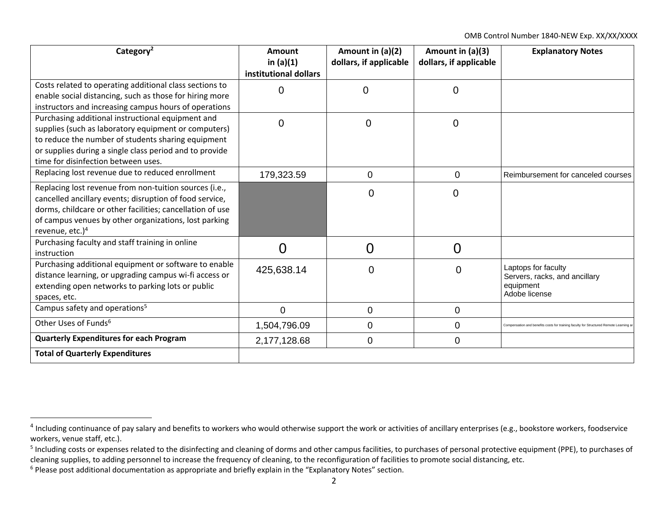| Category <sup>2</sup>                                                                                                                                                                                                                                                  | Amount<br>in $(a)(1)$<br>institutional dollars | Amount in (a)(2)<br>dollars, if applicable | Amount in (a)(3)<br>dollars, if applicable | <b>Explanatory Notes</b>                                                            |
|------------------------------------------------------------------------------------------------------------------------------------------------------------------------------------------------------------------------------------------------------------------------|------------------------------------------------|--------------------------------------------|--------------------------------------------|-------------------------------------------------------------------------------------|
| Costs related to operating additional class sections to<br>enable social distancing, such as those for hiring more<br>instructors and increasing campus hours of operations                                                                                            | $\mathbf 0$                                    | $\overline{0}$                             | $\overline{0}$                             |                                                                                     |
| Purchasing additional instructional equipment and<br>supplies (such as laboratory equipment or computers)<br>to reduce the number of students sharing equipment<br>or supplies during a single class period and to provide<br>time for disinfection between uses.      | $\mathbf 0$                                    | $\mathbf 0$                                | $\mathbf 0$                                |                                                                                     |
| Replacing lost revenue due to reduced enrollment                                                                                                                                                                                                                       | 179,323.59                                     | $\mathbf 0$                                | $\overline{0}$                             | Reimbursement for canceled courses                                                  |
| Replacing lost revenue from non-tuition sources (i.e.,<br>cancelled ancillary events; disruption of food service,<br>dorms, childcare or other facilities; cancellation of use<br>of campus venues by other organizations, lost parking<br>revenue, etc.) <sup>4</sup> |                                                | $\overline{0}$                             | $\mathbf 0$                                |                                                                                     |
| Purchasing faculty and staff training in online<br>instruction                                                                                                                                                                                                         | 0                                              | $\overline{0}$                             | $\overline{0}$                             |                                                                                     |
| Purchasing additional equipment or software to enable<br>distance learning, or upgrading campus wi-fi access or<br>extending open networks to parking lots or public<br>spaces, etc.                                                                                   | 425,638.14                                     | $\Omega$                                   | $\Omega$                                   | Laptops for faculty<br>Servers, racks, and ancillary<br>equipment<br>Adobe license  |
| Campus safety and operations <sup>5</sup>                                                                                                                                                                                                                              | $\overline{0}$                                 | $\mathbf 0$                                | $\mathbf 0$                                |                                                                                     |
| Other Uses of Funds <sup>6</sup>                                                                                                                                                                                                                                       | 1,504,796.09                                   | $\mathbf 0$                                | $\mathbf 0$                                | Compensation and benefits costs for training faculty for Structured Remote Learning |
| <b>Quarterly Expenditures for each Program</b>                                                                                                                                                                                                                         | 2,177,128.68                                   | $\mathbf 0$                                | $\overline{0}$                             |                                                                                     |
| <b>Total of Quarterly Expenditures</b>                                                                                                                                                                                                                                 |                                                |                                            |                                            |                                                                                     |

<sup>&</sup>lt;sup>4</sup> Including continuance of pay salary and benefits to workers who would otherwise support the work or activities of ancillary enterprises (e.g., bookstore workers, foodservice workers, venue staff, etc.).

<sup>&</sup>lt;sup>5</sup> Including costs or expenses related to the disinfecting and cleaning of dorms and other campus facilities, to purchases of personal protective equipment (PPE), to purchases of cleaning supplies, to adding personnel to increase the frequency of cleaning, to the reconfiguration of facilities to promote social distancing, etc.

<sup>6</sup> Please post additional documentation as appropriate and briefly explain in the "Explanatory Notes" section.